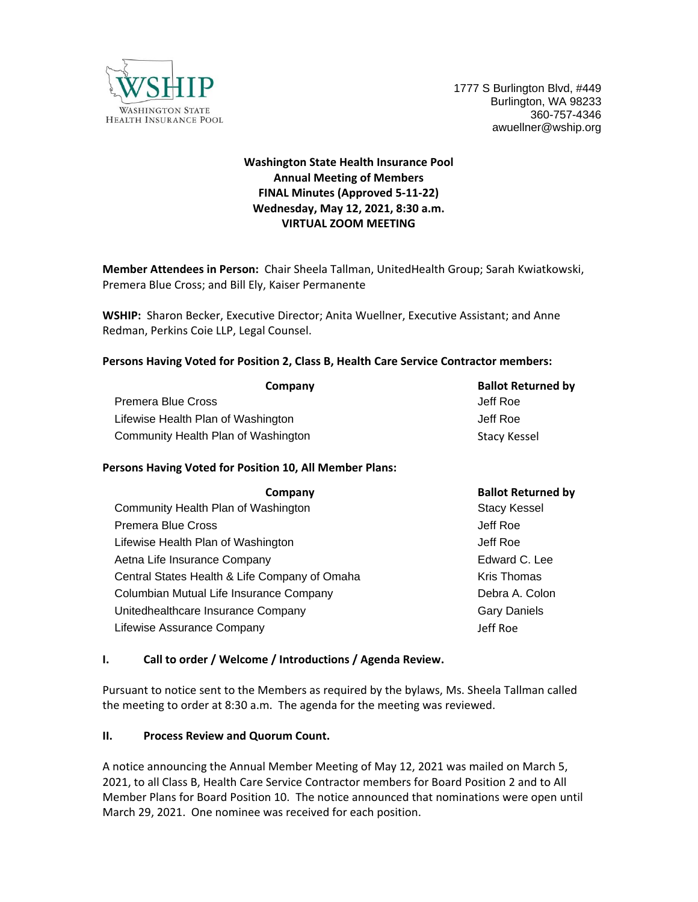

# **Washington State Health Insurance Pool Annual Meeting of Members FINAL Minutes (Approved 5-11-22) Wednesday, May 12, 2021, 8:30 a.m. VIRTUAL ZOOM MEETING**

**Member Attendees in Person:** Chair Sheela Tallman, UnitedHealth Group; Sarah Kwiatkowski, Premera Blue Cross; and Bill Ely, Kaiser Permanente

**WSHIP:** Sharon Becker, Executive Director; Anita Wuellner, Executive Assistant; and Anne Redman, Perkins Coie LLP, Legal Counsel.

#### **Persons Having Voted for Position 2, Class B, Health Care Service Contractor members:**

| Company                             | <b>Ballot Returned by</b> |
|-------------------------------------|---------------------------|
| Premera Blue Cross                  | Jeff Roe                  |
| Lifewise Health Plan of Washington  | Jeff Roe                  |
| Community Health Plan of Washington | Stacy Kessel              |

#### **Persons Having Voted for Position 10, All Member Plans:**

| Company                                       | <b>Ballot Returned by</b> |
|-----------------------------------------------|---------------------------|
| Community Health Plan of Washington           | <b>Stacy Kessel</b>       |
| Premera Blue Cross                            | Jeff Roe                  |
| Lifewise Health Plan of Washington            | Jeff Roe                  |
| Aetna Life Insurance Company                  | Edward C. Lee             |
| Central States Health & Life Company of Omaha | Kris Thomas               |
| Columbian Mutual Life Insurance Company       | Debra A. Colon            |
| Unitedhealthcare Insurance Company            | <b>Gary Daniels</b>       |
| Lifewise Assurance Company                    | Jeff Roe                  |

#### **I. Call to order / Welcome / Introductions / Agenda Review.**

Pursuant to notice sent to the Members as required by the bylaws, Ms. Sheela Tallman called the meeting to order at 8:30 a.m. The agenda for the meeting was reviewed.

#### **II. Process Review and Quorum Count.**

A notice announcing the Annual Member Meeting of May 12, 2021 was mailed on March 5, 2021, to all Class B, Health Care Service Contractor members for Board Position 2 and to All Member Plans for Board Position 10. The notice announced that nominations were open until March 29, 2021. One nominee was received for each position.